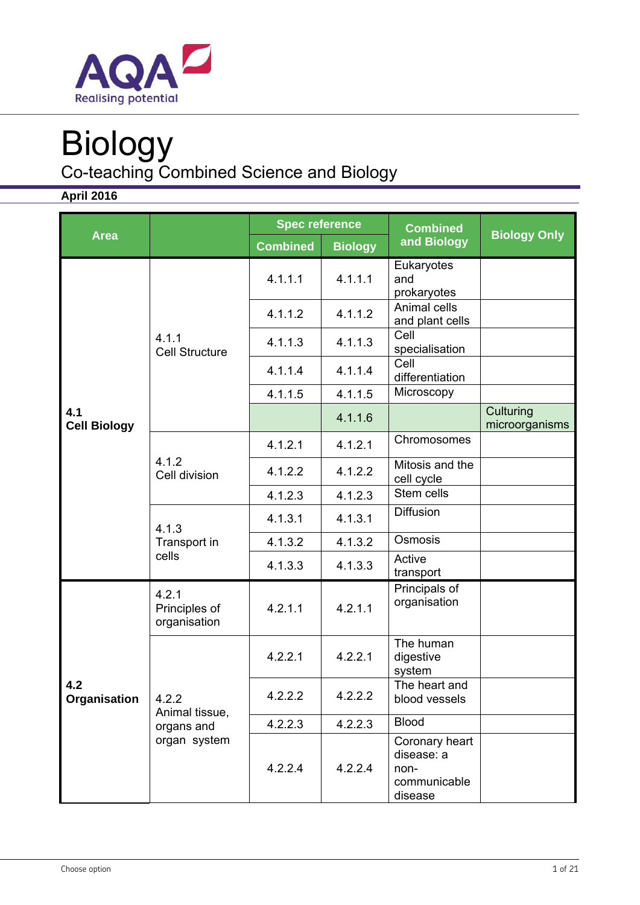

# Biology

Co-teaching Combined Science and Biology

**April 2016** 

|                            |                                        | <b>Spec reference</b> |                | <b>Combined</b>                                                 |                             |
|----------------------------|----------------------------------------|-----------------------|----------------|-----------------------------------------------------------------|-----------------------------|
| <b>Area</b>                |                                        | <b>Combined</b>       | <b>Biology</b> | and Biology                                                     | <b>Biology Only</b>         |
|                            |                                        | 4.1.1.1               | 4.1.1.1        | Eukaryotes<br>and<br>prokaryotes                                |                             |
|                            |                                        | 4.1.1.2               | 4.1.1.2        | Animal cells<br>and plant cells                                 |                             |
|                            | 4.1.1<br><b>Cell Structure</b>         | 4.1.1.3               | 4.1.1.3        | Cell<br>specialisation                                          |                             |
|                            |                                        | 4.1.1.4               | 4.1.1.4        | Cell<br>differentiation                                         |                             |
|                            |                                        | 4.1.1.5               | 4.1.1.5        | Microscopy                                                      |                             |
| 4.1<br><b>Cell Biology</b> |                                        |                       | 4.1.1.6        |                                                                 | Culturing<br>microorganisms |
|                            |                                        | 4.1.2.1               | 4.1.2.1        | Chromosomes                                                     |                             |
|                            | 4.1.2<br>Cell division                 | 4.1.2.2               | 4.1.2.2        | Mitosis and the<br>cell cycle                                   |                             |
|                            |                                        | 4.1.2.3               | 4.1.2.3        | Stem cells                                                      |                             |
|                            | 4.1.3<br>Transport in<br>cells         | 4.1.3.1               | 4.1.3.1        | <b>Diffusion</b>                                                |                             |
|                            |                                        | 4.1.3.2               | 4.1.3.2        | Osmosis                                                         |                             |
|                            |                                        | 4.1.3.3               | 4.1.3.3        | Active<br>transport                                             |                             |
| 4.2<br>Organisation        | 4.2.1<br>Principles of<br>organisation | 4.2.1.1               | 4.2.1.1        | Principals of<br>organisation                                   |                             |
|                            | 4.2.2                                  | 4.2.2.1               | 4.2.2.1        | The human<br>digestive<br>system                                |                             |
|                            |                                        | 4.2.2.2               | 4.2.2.2        | The heart and<br>blood vessels                                  |                             |
|                            | Animal tissue,<br>organs and           | 4.2.2.3               | 4.2.2.3        | <b>Blood</b>                                                    |                             |
|                            | organ system                           | 4.2.2.4               | 4.2.2.4        | Coronary heart<br>disease: a<br>non-<br>communicable<br>disease |                             |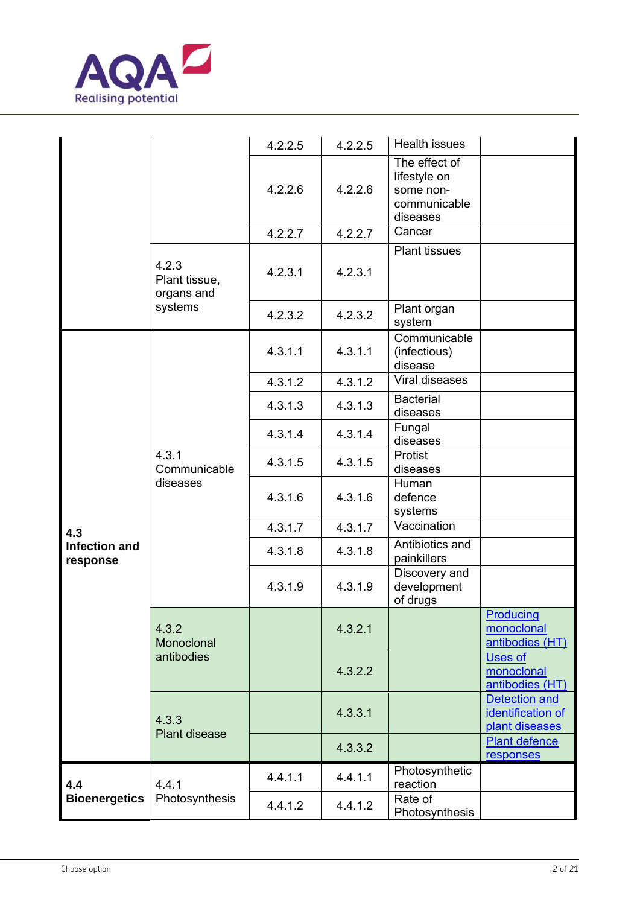

|                                  |                                      | 4.2.2.5 | 4.2.2.5 | <b>Health issues</b>                                                   |                                                             |
|----------------------------------|--------------------------------------|---------|---------|------------------------------------------------------------------------|-------------------------------------------------------------|
|                                  |                                      | 4.2.2.6 | 4.2.2.6 | The effect of<br>lifestyle on<br>some non-<br>communicable<br>diseases |                                                             |
|                                  |                                      | 4.2.2.7 | 4.2.2.7 | Cancer                                                                 |                                                             |
|                                  | 4.2.3<br>Plant tissue,<br>organs and | 4.2.3.1 | 4.2.3.1 | <b>Plant tissues</b>                                                   |                                                             |
|                                  | systems                              | 4.2.3.2 | 4.2.3.2 | Plant organ<br>system                                                  |                                                             |
|                                  |                                      | 4.3.1.1 | 4.3.1.1 | Communicable<br>(infectious)<br>disease                                |                                                             |
|                                  |                                      | 4.3.1.2 | 4.3.1.2 | Viral diseases                                                         |                                                             |
|                                  | 4.3.1<br>Communicable<br>diseases    | 4.3.1.3 | 4.3.1.3 | <b>Bacterial</b><br>diseases                                           |                                                             |
|                                  |                                      | 4.3.1.4 | 4.3.1.4 | Fungal<br>diseases                                                     |                                                             |
| 4.3                              |                                      | 4.3.1.5 | 4.3.1.5 | Protist<br>diseases                                                    |                                                             |
|                                  |                                      | 4.3.1.6 | 4.3.1.6 | Human<br>defence<br>systems                                            |                                                             |
|                                  |                                      | 4.3.1.7 | 4.3.1.7 | Vaccination                                                            |                                                             |
| <b>Infection and</b><br>response |                                      | 4.3.1.8 | 4.3.1.8 | Antibiotics and<br>painkillers                                         |                                                             |
|                                  |                                      | 4.3.1.9 | 4.3.1.9 | Discovery and<br>development<br>of drugs                               |                                                             |
|                                  | 4.3.2<br>Monoclonal<br>antibodies    |         | 4.3.2.1 |                                                                        | Producing<br>monoclonal<br>antibodies (HT)                  |
|                                  |                                      |         | 4.3.2.2 |                                                                        | <b>Uses of</b><br>monoclonal<br>antibodies (HT)             |
|                                  | 4.3.3<br>Plant disease               |         | 4.3.3.1 |                                                                        | <b>Detection and</b><br>identification of<br>plant diseases |
|                                  |                                      |         | 4.3.3.2 |                                                                        | <b>Plant defence</b><br>responses                           |
| 4.4                              | 4.4.1                                | 4.4.1.1 | 4.4.1.1 | Photosynthetic<br>reaction                                             |                                                             |
| <b>Bioenergetics</b>             | Photosynthesis                       | 4.4.1.2 | 4.4.1.2 | Rate of<br>Photosynthesis                                              |                                                             |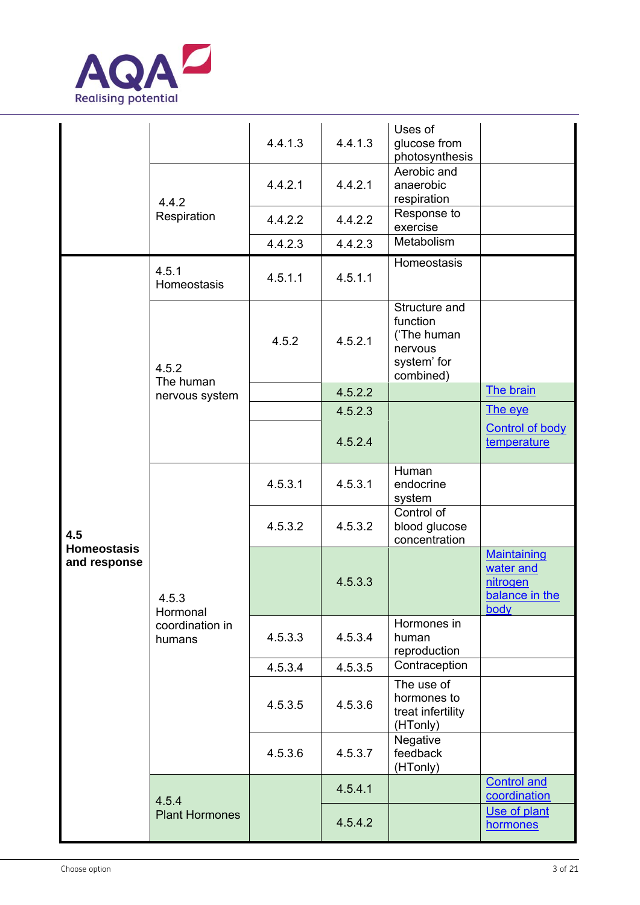

|                                    |                                                | 4.4.1.3 | 4.4.1.3 | Uses of<br>glucose from<br>photosynthesis                                       |                                                                       |
|------------------------------------|------------------------------------------------|---------|---------|---------------------------------------------------------------------------------|-----------------------------------------------------------------------|
|                                    | 4.4.2                                          | 4.4.2.1 | 4.4.2.1 | Aerobic and<br>anaerobic<br>respiration                                         |                                                                       |
|                                    | Respiration                                    | 4.4.2.2 | 4.4.2.2 | Response to<br>exercise                                                         |                                                                       |
|                                    |                                                | 4.4.2.3 | 4.4.2.3 | Metabolism                                                                      |                                                                       |
|                                    | 4.5.1<br>Homeostasis                           | 4.5.1.1 | 4.5.1.1 | Homeostasis                                                                     |                                                                       |
|                                    | 4.5.2                                          | 4.5.2   | 4.5.2.1 | Structure and<br>function<br>('The human<br>nervous<br>system' for<br>combined) |                                                                       |
|                                    | The human<br>nervous system                    |         | 4.5.2.2 |                                                                                 | The brain                                                             |
|                                    |                                                |         | 4.5.2.3 |                                                                                 | The eye                                                               |
|                                    |                                                |         | 4.5.2.4 |                                                                                 | <b>Control of body</b><br>temperature                                 |
|                                    | 4.5.3<br>Hormonal<br>coordination in<br>humans | 4.5.3.1 | 4.5.3.1 | Human<br>endocrine<br>system                                                    |                                                                       |
| 4.5                                |                                                | 4.5.3.2 | 4.5.3.2 | Control of<br>blood glucose<br>concentration                                    |                                                                       |
| <b>Homeostasis</b><br>and response |                                                |         | 4.5.3.3 |                                                                                 | <b>Maintaining</b><br>water and<br>nitrogen<br>balance in the<br>body |
|                                    |                                                | 4.5.3.3 | 4.5.3.4 | Hormones in<br>human<br>reproduction                                            |                                                                       |
|                                    |                                                | 4.5.3.4 | 4.5.3.5 | Contraception                                                                   |                                                                       |
|                                    |                                                | 4.5.3.5 | 4.5.3.6 | The use of<br>hormones to<br>treat infertility<br>(HTonly)                      |                                                                       |
|                                    |                                                | 4.5.3.6 | 4.5.3.7 | Negative<br>feedback<br>(HTonly)                                                |                                                                       |
|                                    | 4.5.4                                          |         | 4.5.4.1 |                                                                                 | <b>Control and</b><br>coordination                                    |
|                                    | <b>Plant Hormones</b>                          |         | 4.5.4.2 |                                                                                 | Use of plant<br>hormones                                              |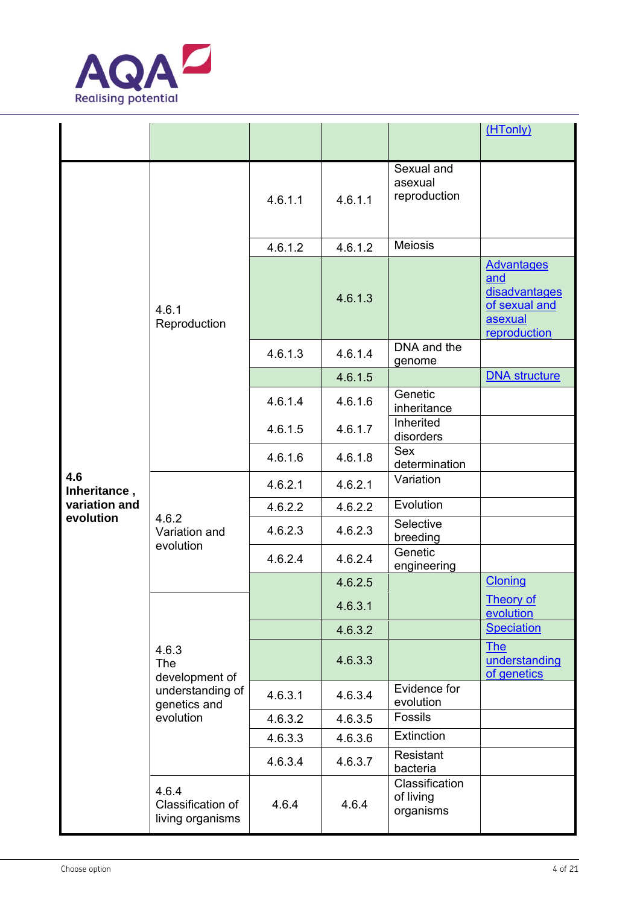

|                     |                                                                                        |         |         |                                          | (HTonly)                                                                              |
|---------------------|----------------------------------------------------------------------------------------|---------|---------|------------------------------------------|---------------------------------------------------------------------------------------|
|                     |                                                                                        | 4.6.1.1 | 4.6.1.1 | Sexual and<br>asexual<br>reproduction    |                                                                                       |
|                     |                                                                                        | 4.6.1.2 | 4.6.1.2 | <b>Meiosis</b>                           |                                                                                       |
|                     | 4.6.1<br>Reproduction                                                                  |         | 4.6.1.3 |                                          | <b>Advantages</b><br>and<br>disadvantages<br>of sexual and<br>asexual<br>reproduction |
|                     |                                                                                        | 4.6.1.3 | 4.6.1.4 | DNA and the<br>genome                    |                                                                                       |
|                     |                                                                                        |         | 4.6.1.5 |                                          | <b>DNA</b> structure                                                                  |
|                     |                                                                                        | 4.6.1.4 | 4.6.1.6 | Genetic<br>inheritance                   |                                                                                       |
|                     |                                                                                        | 4.6.1.5 | 4.6.1.7 | Inherited<br>disorders                   |                                                                                       |
|                     |                                                                                        | 4.6.1.6 | 4.6.1.8 | Sex<br>determination                     |                                                                                       |
| 4.6<br>Inheritance, | 4.6.2<br>Variation and<br>evolution                                                    | 4.6.2.1 | 4.6.2.1 | Variation                                |                                                                                       |
| variation and       |                                                                                        | 4.6.2.2 | 4.6.2.2 | Evolution                                |                                                                                       |
| evolution           |                                                                                        | 4.6.2.3 | 4.6.2.3 | Selective<br>breeding                    |                                                                                       |
|                     |                                                                                        | 4.6.2.4 | 4.6.2.4 | Genetic<br>engineering                   |                                                                                       |
|                     |                                                                                        |         | 4.6.2.5 |                                          | <b>Cloning</b>                                                                        |
|                     |                                                                                        |         | 4.6.3.1 |                                          | <b>Theory of</b><br>evolution                                                         |
|                     |                                                                                        |         | 4.6.3.2 |                                          | <b>Speciation</b>                                                                     |
|                     | 4.6.3<br><b>The</b><br>development of<br>understanding of<br>genetics and<br>evolution |         | 4.6.3.3 |                                          | <b>The</b><br>understanding<br>of genetics                                            |
|                     |                                                                                        | 4.6.3.1 | 4.6.3.4 | Evidence for<br>evolution                |                                                                                       |
|                     |                                                                                        | 4.6.3.2 | 4.6.3.5 | Fossils                                  |                                                                                       |
|                     |                                                                                        | 4.6.3.3 | 4.6.3.6 | Extinction                               |                                                                                       |
|                     |                                                                                        | 4.6.3.4 | 4.6.3.7 | Resistant<br>bacteria                    |                                                                                       |
|                     | 4.6.4<br>Classification of<br>living organisms                                         | 4.6.4   | 4.6.4   | Classification<br>of living<br>organisms |                                                                                       |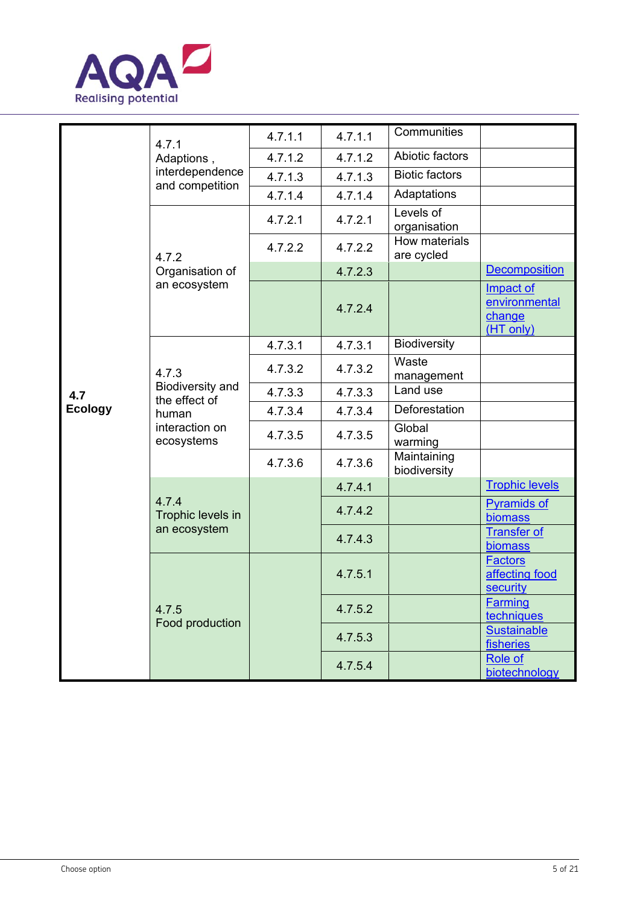

|                | 4.7.1<br>Adaptions,                                                                 | 4.7.1.1 | 4.7.1.1 | Communities                 |                                                   |
|----------------|-------------------------------------------------------------------------------------|---------|---------|-----------------------------|---------------------------------------------------|
|                |                                                                                     | 4.7.1.2 | 4.7.1.2 | Abiotic factors             |                                                   |
|                | interdependence<br>and competition                                                  | 4.7.1.3 | 4.7.1.3 | <b>Biotic factors</b>       |                                                   |
|                |                                                                                     | 4.7.1.4 | 4.7.1.4 | Adaptations                 |                                                   |
|                |                                                                                     | 4.7.2.1 | 4.7.2.1 | Levels of<br>organisation   |                                                   |
|                | 4.7.2                                                                               | 4.7.2.2 | 4.7.2.2 | How materials<br>are cycled |                                                   |
|                | Organisation of                                                                     |         | 4.7.2.3 |                             | <b>Decomposition</b>                              |
|                | an ecosystem                                                                        |         | 4.7.2.4 |                             | Impact of<br>environmental<br>change<br>(HT only) |
|                |                                                                                     | 4.7.3.1 | 4.7.3.1 | <b>Biodiversity</b>         |                                                   |
|                | 4.7.3<br>Biodiversity and<br>the effect of<br>human<br>interaction on<br>ecosystems | 4.7.3.2 | 4.7.3.2 | Waste<br>management         |                                                   |
| 4.7            |                                                                                     | 4.7.3.3 | 4.7.3.3 | Land use                    |                                                   |
| <b>Ecology</b> |                                                                                     | 4.7.3.4 | 4.7.3.4 | Deforestation               |                                                   |
|                |                                                                                     | 4.7.3.5 | 4.7.3.5 | Global<br>warming           |                                                   |
|                |                                                                                     | 4.7.3.6 | 4.7.3.6 | Maintaining<br>biodiversity |                                                   |
|                | 4.7.4<br>Trophic levels in<br>an ecosystem                                          |         | 4.7.4.1 |                             | <b>Trophic levels</b>                             |
|                |                                                                                     |         | 4.7.4.2 |                             | <b>Pyramids of</b><br>biomass                     |
|                |                                                                                     |         | 4.7.4.3 |                             | <b>Transfer of</b><br>biomass                     |
|                | 4.7.5<br>Food production                                                            |         | 4.7.5.1 |                             | <b>Factors</b><br>affecting food<br>security      |
|                |                                                                                     |         | 4.7.5.2 |                             | <b>Farming</b><br>techniques                      |
|                |                                                                                     |         | 4.7.5.3 |                             | <b>Sustainable</b><br>fisheries                   |
|                |                                                                                     |         | 4.7.5.4 |                             | Role of<br>biotechnology                          |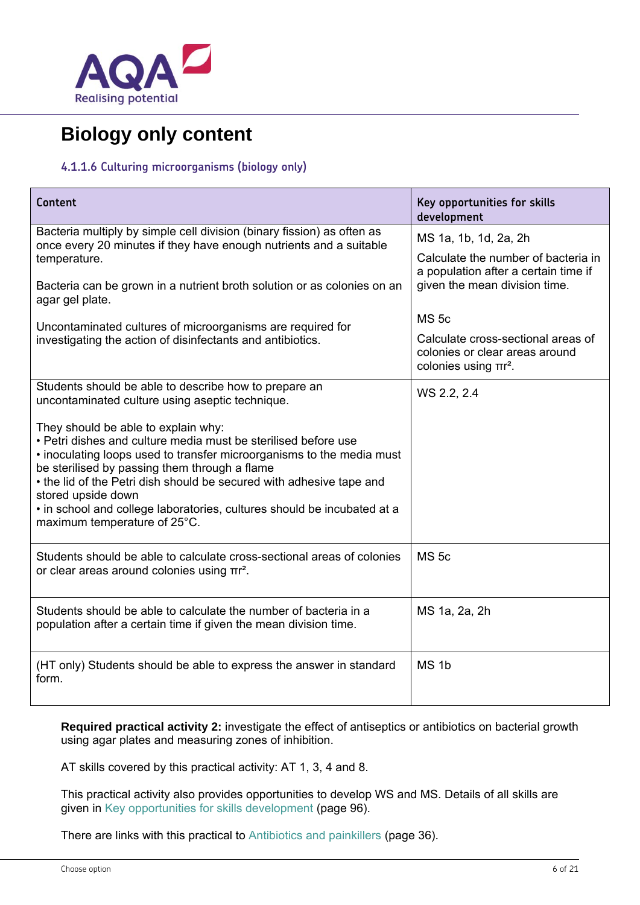

## **Biology only content**

#### **4.1.1.6 Culturing microorganisms (biology only)**

| Content                                                                                                                                                                                                                                                                                                                                                                                                                                  | Key opportunities for skills<br>development                                                        |
|------------------------------------------------------------------------------------------------------------------------------------------------------------------------------------------------------------------------------------------------------------------------------------------------------------------------------------------------------------------------------------------------------------------------------------------|----------------------------------------------------------------------------------------------------|
| Bacteria multiply by simple cell division (binary fission) as often as<br>once every 20 minutes if they have enough nutrients and a suitable                                                                                                                                                                                                                                                                                             | MS 1a, 1b, 1d, 2a, 2h                                                                              |
| temperature.                                                                                                                                                                                                                                                                                                                                                                                                                             | Calculate the number of bacteria in<br>a population after a certain time if                        |
| Bacteria can be grown in a nutrient broth solution or as colonies on an<br>agar gel plate.                                                                                                                                                                                                                                                                                                                                               | given the mean division time.                                                                      |
| Uncontaminated cultures of microorganisms are required for                                                                                                                                                                                                                                                                                                                                                                               | <b>MS 5c</b>                                                                                       |
| investigating the action of disinfectants and antibiotics.                                                                                                                                                                                                                                                                                                                                                                               | Calculate cross-sectional areas of<br>colonies or clear areas around<br>colonies using $\pi r^2$ . |
| Students should be able to describe how to prepare an<br>uncontaminated culture using aseptic technique.                                                                                                                                                                                                                                                                                                                                 | WS 2.2, 2.4                                                                                        |
| They should be able to explain why:<br>• Petri dishes and culture media must be sterilised before use<br>. inoculating loops used to transfer microorganisms to the media must<br>be sterilised by passing them through a flame<br>• the lid of the Petri dish should be secured with adhesive tape and<br>stored upside down<br>· in school and college laboratories, cultures should be incubated at a<br>maximum temperature of 25°C. |                                                                                                    |
| Students should be able to calculate cross-sectional areas of colonies<br>or clear areas around colonies using πr <sup>2</sup> .                                                                                                                                                                                                                                                                                                         | <b>MS 5c</b>                                                                                       |
| Students should be able to calculate the number of bacteria in a<br>population after a certain time if given the mean division time.                                                                                                                                                                                                                                                                                                     | MS 1a, 2a, 2h                                                                                      |
| (HT only) Students should be able to express the answer in standard<br>form.                                                                                                                                                                                                                                                                                                                                                             | MS <sub>1b</sub>                                                                                   |

**Required practical activity 2:** investigate the effect of antiseptics or antibiotics on bacterial growth using agar plates and measuring zones of inhibition.

AT skills covered by this practical activity: AT 1, 3, 4 and 8.

This practical activity also provides opportunities to develop WS and MS. Details of all skills are given in Key opportunities for skills development (page 96).

There are links with this practical to Antibiotics and painkillers (page 36).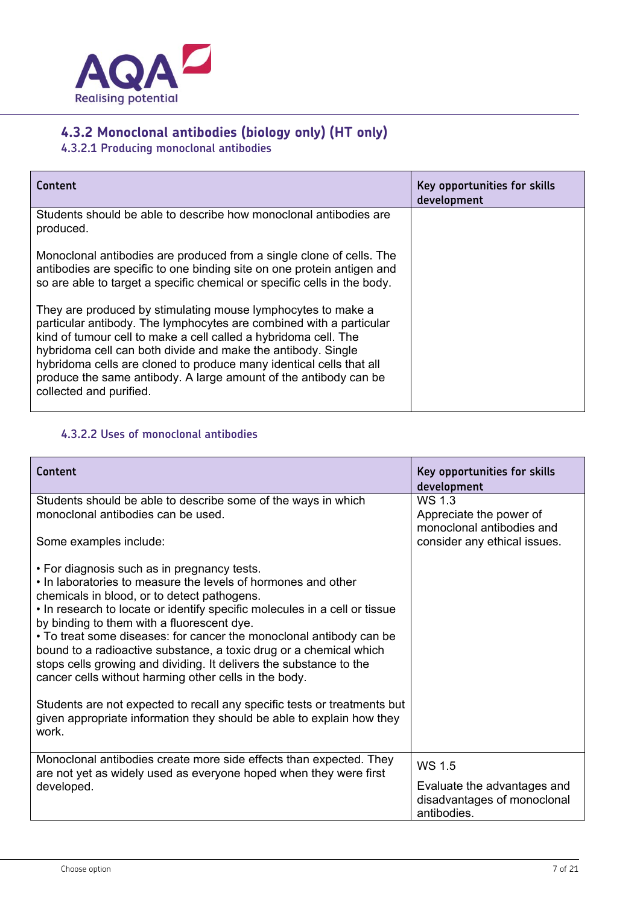

## **4.3.2 Monoclonal antibodies (biology only) (HT only)**

**4.3.2.1 Producing monoclonal antibodies** 

| Content                                                                                                                                                                                                                                                                                                                                                                                                                                      | Key opportunities for skills<br>development |
|----------------------------------------------------------------------------------------------------------------------------------------------------------------------------------------------------------------------------------------------------------------------------------------------------------------------------------------------------------------------------------------------------------------------------------------------|---------------------------------------------|
| Students should be able to describe how monoclonal antibodies are<br>produced.                                                                                                                                                                                                                                                                                                                                                               |                                             |
| Monoclonal antibodies are produced from a single clone of cells. The<br>antibodies are specific to one binding site on one protein antigen and<br>so are able to target a specific chemical or specific cells in the body.                                                                                                                                                                                                                   |                                             |
| They are produced by stimulating mouse lymphocytes to make a<br>particular antibody. The lymphocytes are combined with a particular<br>kind of tumour cell to make a cell called a hybridoma cell. The<br>hybridoma cell can both divide and make the antibody. Single<br>hybridoma cells are cloned to produce many identical cells that all<br>produce the same antibody. A large amount of the antibody can be<br>collected and purified. |                                             |

#### **4.3.2.2 Uses of monoclonal antibodies**

| Content                                                                                                                                                                                                                                                                                                                                                                                                                                                                                                                                                                                                                                                                                                                           | Key opportunities for skills<br>development                               |
|-----------------------------------------------------------------------------------------------------------------------------------------------------------------------------------------------------------------------------------------------------------------------------------------------------------------------------------------------------------------------------------------------------------------------------------------------------------------------------------------------------------------------------------------------------------------------------------------------------------------------------------------------------------------------------------------------------------------------------------|---------------------------------------------------------------------------|
| Students should be able to describe some of the ways in which<br>monoclonal antibodies can be used.                                                                                                                                                                                                                                                                                                                                                                                                                                                                                                                                                                                                                               | WS 1.3<br>Appreciate the power of<br>monoclonal antibodies and            |
| Some examples include:                                                                                                                                                                                                                                                                                                                                                                                                                                                                                                                                                                                                                                                                                                            | consider any ethical issues.                                              |
| • For diagnosis such as in pregnancy tests.<br>. In laboratories to measure the levels of hormones and other<br>chemicals in blood, or to detect pathogens.<br>. In research to locate or identify specific molecules in a cell or tissue<br>by binding to them with a fluorescent dye.<br>• To treat some diseases: for cancer the monoclonal antibody can be<br>bound to a radioactive substance, a toxic drug or a chemical which<br>stops cells growing and dividing. It delivers the substance to the<br>cancer cells without harming other cells in the body.<br>Students are not expected to recall any specific tests or treatments but<br>given appropriate information they should be able to explain how they<br>work. |                                                                           |
| Monoclonal antibodies create more side effects than expected. They<br>are not yet as widely used as everyone hoped when they were first                                                                                                                                                                                                                                                                                                                                                                                                                                                                                                                                                                                           | WS 1.5                                                                    |
| developed.                                                                                                                                                                                                                                                                                                                                                                                                                                                                                                                                                                                                                                                                                                                        | Evaluate the advantages and<br>disadvantages of monoclonal<br>antibodies. |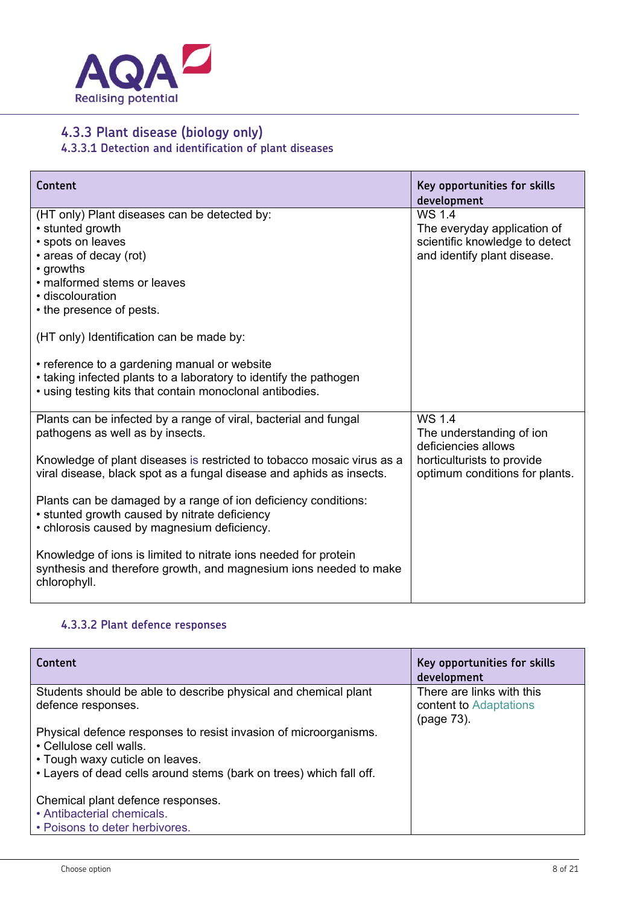

## **4.3.3 Plant disease (biology only)**

**4.3.3.1 Detection and identification of plant diseases** 

| Content                                                                                                                                                                                                                                                 | Key opportunities for skills<br>development                                                            |
|---------------------------------------------------------------------------------------------------------------------------------------------------------------------------------------------------------------------------------------------------------|--------------------------------------------------------------------------------------------------------|
| (HT only) Plant diseases can be detected by:<br>• stunted growth<br>· spots on leaves<br>• areas of decay (rot)<br>• growths<br>• malformed stems or leaves<br>· discolouration<br>• the presence of pests.<br>(HT only) Identification can be made by: | WS 1.4<br>The everyday application of<br>scientific knowledge to detect<br>and identify plant disease. |
| • reference to a gardening manual or website<br>• taking infected plants to a laboratory to identify the pathogen<br>• using testing kits that contain monoclonal antibodies.                                                                           |                                                                                                        |
| Plants can be infected by a range of viral, bacterial and fungal<br>pathogens as well as by insects.                                                                                                                                                    | WS 1.4<br>The understanding of ion<br>deficiencies allows                                              |
| Knowledge of plant diseases is restricted to tobacco mosaic virus as a<br>viral disease, black spot as a fungal disease and aphids as insects.                                                                                                          | horticulturists to provide<br>optimum conditions for plants.                                           |
| Plants can be damaged by a range of ion deficiency conditions:<br>• stunted growth caused by nitrate deficiency<br>• chlorosis caused by magnesium deficiency.                                                                                          |                                                                                                        |
| Knowledge of ions is limited to nitrate ions needed for protein<br>synthesis and therefore growth, and magnesium ions needed to make<br>chlorophyll.                                                                                                    |                                                                                                        |

#### **4.3.3.2 Plant defence responses**

| Content                                                                                                                                                                                               | Key opportunities for skills<br>development         |
|-------------------------------------------------------------------------------------------------------------------------------------------------------------------------------------------------------|-----------------------------------------------------|
| Students should be able to describe physical and chemical plant<br>defence responses.                                                                                                                 | There are links with this<br>content to Adaptations |
| Physical defence responses to resist invasion of microorganisms.<br>• Cellulose cell walls.<br>• Tough waxy cuticle on leaves.<br>. Layers of dead cells around stems (bark on trees) which fall off. | (page 73).                                          |
| Chemical plant defence responses.<br>• Antibacterial chemicals.<br>• Poisons to deter herbivores.                                                                                                     |                                                     |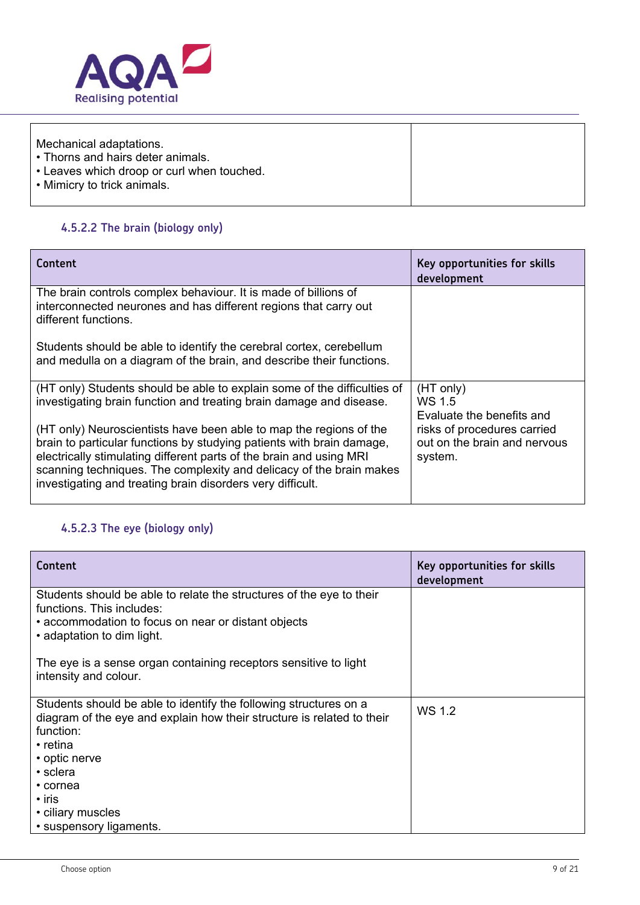

| Mechanical adaptations.<br>• Thorns and hairs deter animals.<br>• Leaves which droop or curl when touched. |  |
|------------------------------------------------------------------------------------------------------------|--|
| • Mimicry to trick animals.                                                                                |  |

#### **4.5.2.2 The brain (biology only)**

| Content                                                                                                                                                                                                                                                                                                                                                 | Key opportunities for skills<br>development                            |
|---------------------------------------------------------------------------------------------------------------------------------------------------------------------------------------------------------------------------------------------------------------------------------------------------------------------------------------------------------|------------------------------------------------------------------------|
| The brain controls complex behaviour. It is made of billions of<br>interconnected neurones and has different regions that carry out<br>different functions.                                                                                                                                                                                             |                                                                        |
| Students should be able to identify the cerebral cortex, cerebellum<br>and medulla on a diagram of the brain, and describe their functions.                                                                                                                                                                                                             |                                                                        |
| (HT only) Students should be able to explain some of the difficulties of<br>investigating brain function and treating brain damage and disease.                                                                                                                                                                                                         | (HT only)<br>WS 15<br>Evaluate the benefits and                        |
| (HT only) Neuroscientists have been able to map the regions of the<br>brain to particular functions by studying patients with brain damage,<br>electrically stimulating different parts of the brain and using MRI<br>scanning techniques. The complexity and delicacy of the brain makes<br>investigating and treating brain disorders very difficult. | risks of procedures carried<br>out on the brain and nervous<br>system. |

## **4.5.2.3 The eye (biology only)**

| Content                                                                                                                                                                                | Key opportunities for skills<br>development |
|----------------------------------------------------------------------------------------------------------------------------------------------------------------------------------------|---------------------------------------------|
| Students should be able to relate the structures of the eye to their<br>functions. This includes:<br>• accommodation to focus on near or distant objects<br>• adaptation to dim light. |                                             |
| The eye is a sense organ containing receptors sensitive to light<br>intensity and colour.                                                                                              |                                             |
| Students should be able to identify the following structures on a<br>diagram of the eye and explain how their structure is related to their<br>function:<br>$\cdot$ retina             | WS 1.2                                      |
| • optic nerve                                                                                                                                                                          |                                             |
| • sclera                                                                                                                                                                               |                                             |
| • cornea                                                                                                                                                                               |                                             |
| $\cdot$ iris                                                                                                                                                                           |                                             |
| • ciliary muscles                                                                                                                                                                      |                                             |
| • suspensory ligaments.                                                                                                                                                                |                                             |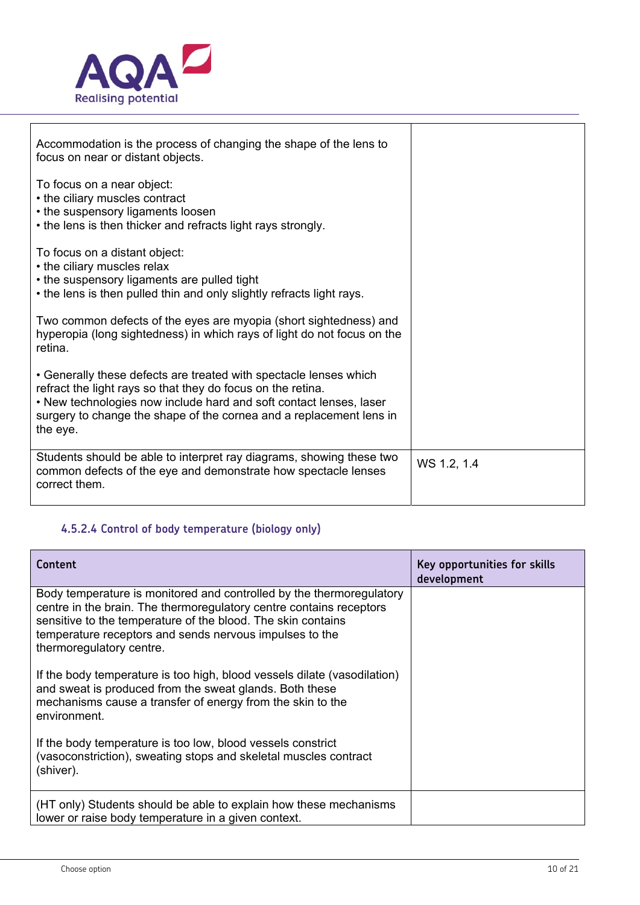

 $\mathbf{r}$ 

| Accommodation is the process of changing the shape of the lens to<br>focus on near or distant objects.                                                                                                                                                                                    |             |
|-------------------------------------------------------------------------------------------------------------------------------------------------------------------------------------------------------------------------------------------------------------------------------------------|-------------|
| To focus on a near object:<br>• the ciliary muscles contract<br>• the suspensory ligaments loosen<br>• the lens is then thicker and refracts light rays strongly.                                                                                                                         |             |
| To focus on a distant object:<br>• the ciliary muscles relax<br>• the suspensory ligaments are pulled tight<br>• the lens is then pulled thin and only slightly refracts light rays.                                                                                                      |             |
| Two common defects of the eyes are myopia (short sightedness) and<br>hyperopia (long sightedness) in which rays of light do not focus on the<br>retina.                                                                                                                                   |             |
| • Generally these defects are treated with spectacle lenses which<br>refract the light rays so that they do focus on the retina.<br>. New technologies now include hard and soft contact lenses, laser<br>surgery to change the shape of the cornea and a replacement lens in<br>the eye. |             |
| Students should be able to interpret ray diagrams, showing these two<br>common defects of the eye and demonstrate how spectacle lenses<br>correct them.                                                                                                                                   | WS 1.2, 1.4 |

## **4.5.2.4 Control of body temperature (biology only)**

| Content                                                                                                                                                                                                                                                                                            | Key opportunities for skills<br>development |
|----------------------------------------------------------------------------------------------------------------------------------------------------------------------------------------------------------------------------------------------------------------------------------------------------|---------------------------------------------|
| Body temperature is monitored and controlled by the thermoregulatory<br>centre in the brain. The thermoregulatory centre contains receptors<br>sensitive to the temperature of the blood. The skin contains<br>temperature receptors and sends nervous impulses to the<br>thermoregulatory centre. |                                             |
| If the body temperature is too high, blood vessels dilate (vasodilation)<br>and sweat is produced from the sweat glands. Both these<br>mechanisms cause a transfer of energy from the skin to the<br>environment.                                                                                  |                                             |
| If the body temperature is too low, blood vessels constrict<br>(vasoconstriction), sweating stops and skeletal muscles contract<br>(shiver).                                                                                                                                                       |                                             |
| (HT only) Students should be able to explain how these mechanisms<br>lower or raise body temperature in a given context.                                                                                                                                                                           |                                             |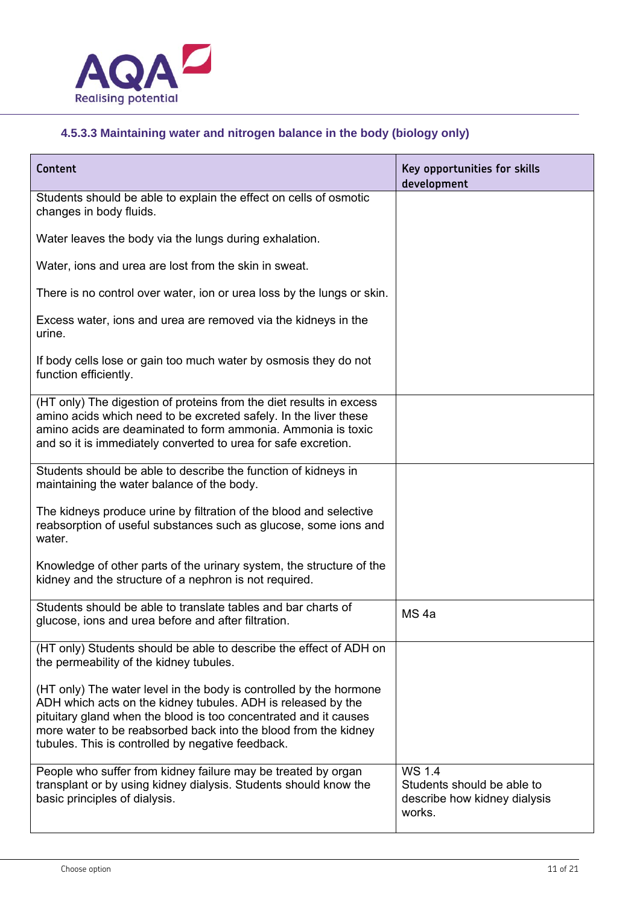

## **4.5.3.3 Maintaining water and nitrogen balance in the body (biology only)**

| Content                                                                                                                                                                                                                                                                                                                        | Key opportunities for skills<br>development                                                 |
|--------------------------------------------------------------------------------------------------------------------------------------------------------------------------------------------------------------------------------------------------------------------------------------------------------------------------------|---------------------------------------------------------------------------------------------|
| Students should be able to explain the effect on cells of osmotic<br>changes in body fluids.                                                                                                                                                                                                                                   |                                                                                             |
| Water leaves the body via the lungs during exhalation.                                                                                                                                                                                                                                                                         |                                                                                             |
| Water, ions and urea are lost from the skin in sweat.                                                                                                                                                                                                                                                                          |                                                                                             |
| There is no control over water, ion or urea loss by the lungs or skin.                                                                                                                                                                                                                                                         |                                                                                             |
| Excess water, ions and urea are removed via the kidneys in the<br>urine.                                                                                                                                                                                                                                                       |                                                                                             |
| If body cells lose or gain too much water by osmosis they do not<br>function efficiently.                                                                                                                                                                                                                                      |                                                                                             |
| (HT only) The digestion of proteins from the diet results in excess<br>amino acids which need to be excreted safely. In the liver these<br>amino acids are deaminated to form ammonia. Ammonia is toxic<br>and so it is immediately converted to urea for safe excretion.                                                      |                                                                                             |
| Students should be able to describe the function of kidneys in<br>maintaining the water balance of the body.                                                                                                                                                                                                                   |                                                                                             |
| The kidneys produce urine by filtration of the blood and selective<br>reabsorption of useful substances such as glucose, some ions and<br>water.                                                                                                                                                                               |                                                                                             |
| Knowledge of other parts of the urinary system, the structure of the<br>kidney and the structure of a nephron is not required.                                                                                                                                                                                                 |                                                                                             |
| Students should be able to translate tables and bar charts of<br>glucose, ions and urea before and after filtration.                                                                                                                                                                                                           | MS <sub>4a</sub>                                                                            |
| (HT only) Students should be able to describe the effect of ADH on<br>the permeability of the kidney tubules.                                                                                                                                                                                                                  |                                                                                             |
| (HT only) The water level in the body is controlled by the hormone<br>ADH which acts on the kidney tubules. ADH is released by the<br>pituitary gland when the blood is too concentrated and it causes<br>more water to be reabsorbed back into the blood from the kidney<br>tubules. This is controlled by negative feedback. |                                                                                             |
| People who suffer from kidney failure may be treated by organ<br>transplant or by using kidney dialysis. Students should know the<br>basic principles of dialysis.                                                                                                                                                             | $\overline{WS}$ 1.4<br>Students should be able to<br>describe how kidney dialysis<br>works. |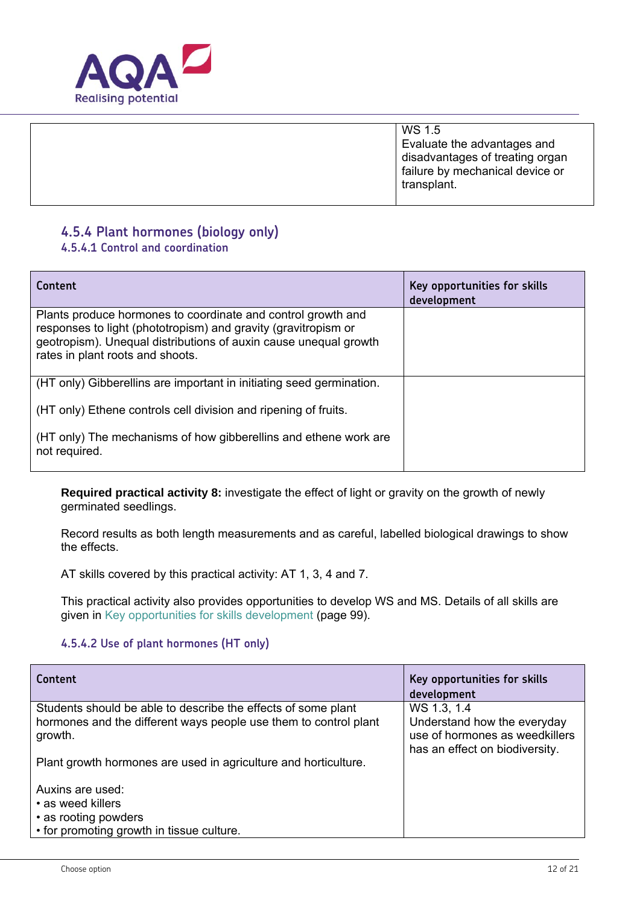

| WS 1.5<br>Evaluate the advantages and<br>disadvantages of treating organ<br>failure by mechanical device or<br>transplant. |
|----------------------------------------------------------------------------------------------------------------------------|
|----------------------------------------------------------------------------------------------------------------------------|

## **4.5.4 Plant hormones (biology only)**

#### **4.5.4.1 Control and coordination**

| Content                                                                                                                                                                                                                                | Key opportunities for skills<br>development |
|----------------------------------------------------------------------------------------------------------------------------------------------------------------------------------------------------------------------------------------|---------------------------------------------|
| Plants produce hormones to coordinate and control growth and<br>responses to light (phototropism) and gravity (gravitropism or<br>geotropism). Unequal distributions of auxin cause unequal growth<br>rates in plant roots and shoots. |                                             |
| (HT only) Gibberellins are important in initiating seed germination.                                                                                                                                                                   |                                             |
| (HT only) Ethene controls cell division and ripening of fruits.                                                                                                                                                                        |                                             |
| (HT only) The mechanisms of how gibberellins and ethene work are<br>not required.                                                                                                                                                      |                                             |

**Required practical activity 8:** investigate the effect of light or gravity on the growth of newly germinated seedlings.

Record results as both length measurements and as careful, labelled biological drawings to show the effects.

AT skills covered by this practical activity: AT 1, 3, 4 and 7.

This practical activity also provides opportunities to develop WS and MS. Details of all skills are given in Key opportunities for skills development (page 99).

#### **4.5.4.2 Use of plant hormones (HT only)**

| Content                                                                     | Key opportunities for skills<br>development                                                     |
|-----------------------------------------------------------------------------|-------------------------------------------------------------------------------------------------|
| Students should be able to describe the effects of some plant               | WS 1.3, 1.4                                                                                     |
| hormones and the different ways people use them to control plant<br>growth. | Understand how the everyday<br>use of hormones as weedkillers<br>has an effect on biodiversity. |
| Plant growth hormones are used in agriculture and horticulture.             |                                                                                                 |
| Auxins are used:                                                            |                                                                                                 |
| • as weed killers                                                           |                                                                                                 |
| • as rooting powders                                                        |                                                                                                 |
| • for promoting growth in tissue culture.                                   |                                                                                                 |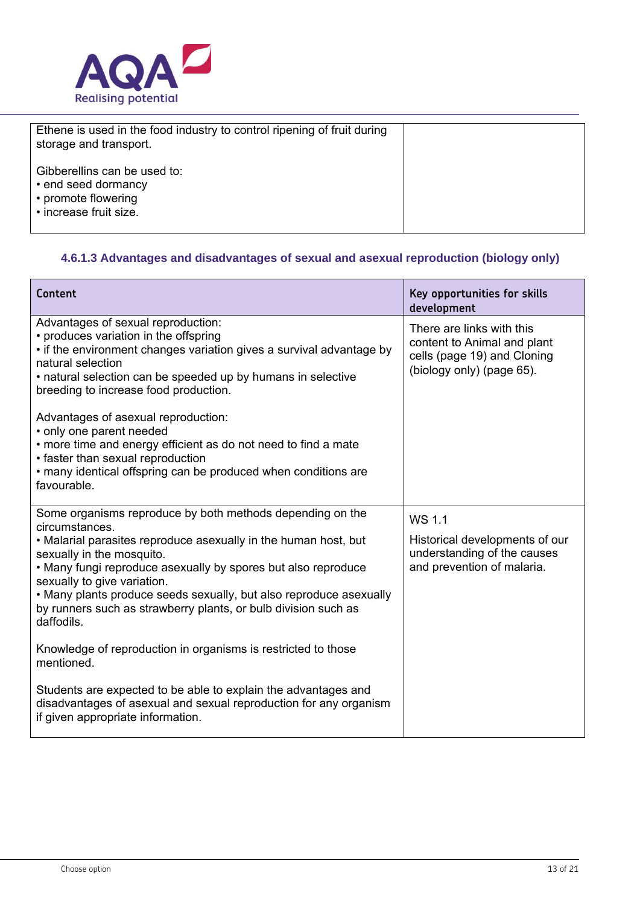

| Ethene is used in the food industry to control ripening of fruit during<br>storage and transport.    |  |
|------------------------------------------------------------------------------------------------------|--|
| Gibberellins can be used to:<br>• end seed dormancy<br>• promote flowering<br>• increase fruit size. |  |

## **4.6.1.3 Advantages and disadvantages of sexual and asexual reproduction (biology only)**

| Content                                                                                                                                                                                                                                                                                                                                                                                                                           | Key opportunities for skills<br>development                                                                          |
|-----------------------------------------------------------------------------------------------------------------------------------------------------------------------------------------------------------------------------------------------------------------------------------------------------------------------------------------------------------------------------------------------------------------------------------|----------------------------------------------------------------------------------------------------------------------|
| Advantages of sexual reproduction:<br>• produces variation in the offspring<br>• if the environment changes variation gives a survival advantage by<br>natural selection<br>• natural selection can be speeded up by humans in selective<br>breeding to increase food production.                                                                                                                                                 | There are links with this<br>content to Animal and plant<br>cells (page 19) and Cloning<br>(biology only) (page 65). |
| Advantages of asexual reproduction:<br>• only one parent needed<br>• more time and energy efficient as do not need to find a mate<br>• faster than sexual reproduction<br>• many identical offspring can be produced when conditions are<br>favourable.                                                                                                                                                                           |                                                                                                                      |
| Some organisms reproduce by both methods depending on the<br>circumstances.<br>• Malarial parasites reproduce asexually in the human host, but<br>sexually in the mosquito.<br>• Many fungi reproduce asexually by spores but also reproduce<br>sexually to give variation.<br>• Many plants produce seeds sexually, but also reproduce asexually<br>by runners such as strawberry plants, or bulb division such as<br>daffodils. | WS 1.1<br>Historical developments of our<br>understanding of the causes<br>and prevention of malaria.                |
| Knowledge of reproduction in organisms is restricted to those<br>mentioned.                                                                                                                                                                                                                                                                                                                                                       |                                                                                                                      |
| Students are expected to be able to explain the advantages and<br>disadvantages of asexual and sexual reproduction for any organism<br>if given appropriate information.                                                                                                                                                                                                                                                          |                                                                                                                      |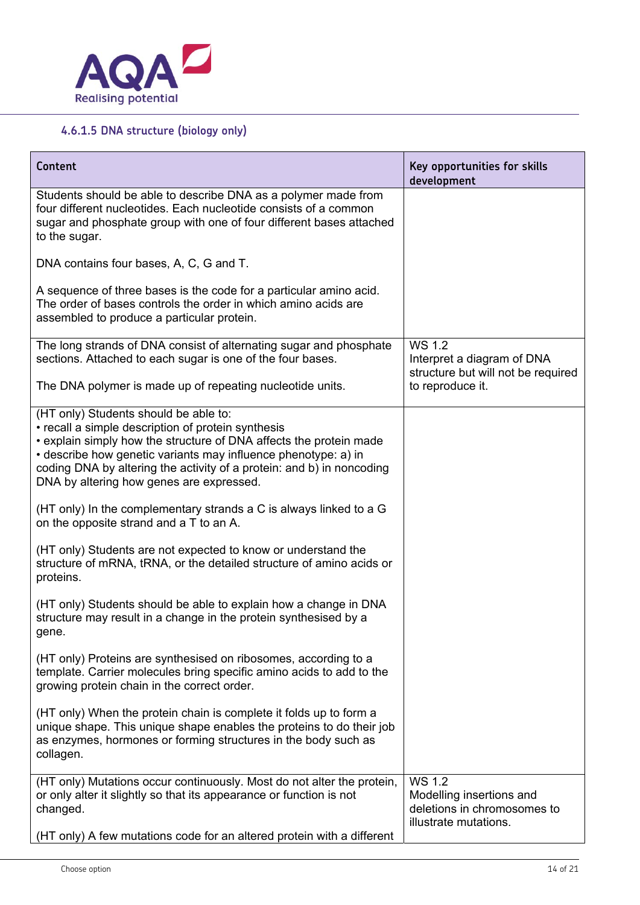

## **4.6.1.5 DNA structure (biology only)**

| Content                                                                                                                                                                                                                                                                                                                                                  | Key opportunities for skills<br>development                                                       |
|----------------------------------------------------------------------------------------------------------------------------------------------------------------------------------------------------------------------------------------------------------------------------------------------------------------------------------------------------------|---------------------------------------------------------------------------------------------------|
| Students should be able to describe DNA as a polymer made from<br>four different nucleotides. Each nucleotide consists of a common<br>sugar and phosphate group with one of four different bases attached<br>to the sugar.                                                                                                                               |                                                                                                   |
| DNA contains four bases, A, C, G and T.                                                                                                                                                                                                                                                                                                                  |                                                                                                   |
| A sequence of three bases is the code for a particular amino acid.<br>The order of bases controls the order in which amino acids are<br>assembled to produce a particular protein.                                                                                                                                                                       |                                                                                                   |
| The long strands of DNA consist of alternating sugar and phosphate<br>sections. Attached to each sugar is one of the four bases.                                                                                                                                                                                                                         | WS 1.2<br>Interpret a diagram of DNA<br>structure but will not be required                        |
| The DNA polymer is made up of repeating nucleotide units.                                                                                                                                                                                                                                                                                                | to reproduce it.                                                                                  |
| (HT only) Students should be able to:<br>• recall a simple description of protein synthesis<br>• explain simply how the structure of DNA affects the protein made<br>• describe how genetic variants may influence phenotype: a) in<br>coding DNA by altering the activity of a protein: and b) in noncoding<br>DNA by altering how genes are expressed. |                                                                                                   |
| (HT only) In the complementary strands a C is always linked to a G<br>on the opposite strand and a T to an A.                                                                                                                                                                                                                                            |                                                                                                   |
| (HT only) Students are not expected to know or understand the<br>structure of mRNA, tRNA, or the detailed structure of amino acids or<br>proteins.                                                                                                                                                                                                       |                                                                                                   |
| (HT only) Students should be able to explain how a change in DNA<br>structure may result in a change in the protein synthesised by a<br>gene.                                                                                                                                                                                                            |                                                                                                   |
| (HT only) Proteins are synthesised on ribosomes, according to a<br>template. Carrier molecules bring specific amino acids to add to the<br>growing protein chain in the correct order.                                                                                                                                                                   |                                                                                                   |
| (HT only) When the protein chain is complete it folds up to form a<br>unique shape. This unique shape enables the proteins to do their job<br>as enzymes, hormones or forming structures in the body such as<br>collagen.                                                                                                                                |                                                                                                   |
| (HT only) Mutations occur continuously. Most do not alter the protein,<br>or only alter it slightly so that its appearance or function is not<br>changed.<br>(HT only) A few mutations code for an altered protein with a different                                                                                                                      | <b>WS 1.2</b><br>Modelling insertions and<br>deletions in chromosomes to<br>illustrate mutations. |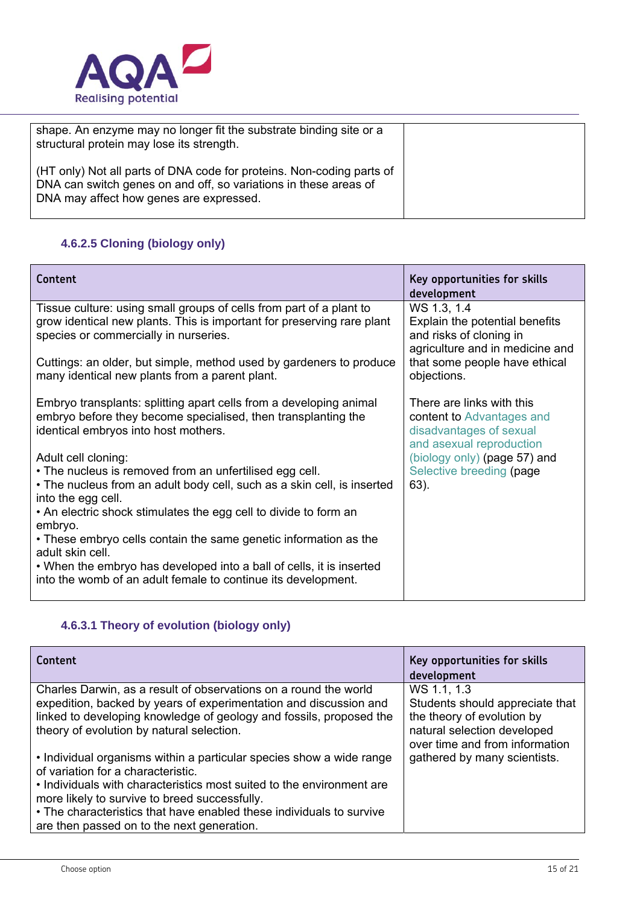

| shape. An enzyme may no longer fit the substrate binding site or a<br>structural protein may lose its strength.                                                                      |  |
|--------------------------------------------------------------------------------------------------------------------------------------------------------------------------------------|--|
| (HT only) Not all parts of DNA code for proteins. Non-coding parts of<br>DNA can switch genes on and off, so variations in these areas of<br>DNA may affect how genes are expressed. |  |

#### **4.6.2.5 Cloning (biology only)**

| Content                                                                                                                                                                                | Key opportunities for skills<br>development                                                                                                                 |
|----------------------------------------------------------------------------------------------------------------------------------------------------------------------------------------|-------------------------------------------------------------------------------------------------------------------------------------------------------------|
| Tissue culture: using small groups of cells from part of a plant to<br>grow identical new plants. This is important for preserving rare plant<br>species or commercially in nurseries. | WS 1.3, 1.4<br>Explain the potential benefits<br>and risks of cloning in<br>agriculture and in medicine and<br>that some people have ethical<br>objections. |
| Cuttings: an older, but simple, method used by gardeners to produce<br>many identical new plants from a parent plant.                                                                  |                                                                                                                                                             |
| Embryo transplants: splitting apart cells from a developing animal<br>embryo before they become specialised, then transplanting the<br>identical embryos into host mothers.            | There are links with this<br>content to Advantages and<br>disadvantages of sexual<br>and asexual reproduction                                               |
| Adult cell cloning:<br>• The nucleus is removed from an unfertilised egg cell.<br>• The nucleus from an adult body cell, such as a skin cell, is inserted<br>into the egg cell.        | (biology only) (page 57) and<br>Selective breeding (page<br>63).                                                                                            |
| • An electric shock stimulates the egg cell to divide to form an<br>embryo.                                                                                                            |                                                                                                                                                             |
| • These embryo cells contain the same genetic information as the<br>adult skin cell.                                                                                                   |                                                                                                                                                             |
| • When the embryo has developed into a ball of cells, it is inserted<br>into the womb of an adult female to continue its development.                                                  |                                                                                                                                                             |

## **4.6.3.1 Theory of evolution (biology only)**

| Content                                                                                                                                                                                                                                                   | Key opportunities for skills<br>development                                                                                                   |
|-----------------------------------------------------------------------------------------------------------------------------------------------------------------------------------------------------------------------------------------------------------|-----------------------------------------------------------------------------------------------------------------------------------------------|
| Charles Darwin, as a result of observations on a round the world<br>expedition, backed by years of experimentation and discussion and<br>linked to developing knowledge of geology and fossils, proposed the<br>theory of evolution by natural selection. | WS 1.1, 1.3<br>Students should appreciate that<br>the theory of evolution by<br>natural selection developed<br>over time and from information |
| • Individual organisms within a particular species show a wide range<br>of variation for a characteristic.<br>• Individuals with characteristics most suited to the environment are<br>more likely to survive to breed successfully.                      | gathered by many scientists.                                                                                                                  |
| • The characteristics that have enabled these individuals to survive<br>are then passed on to the next generation.                                                                                                                                        |                                                                                                                                               |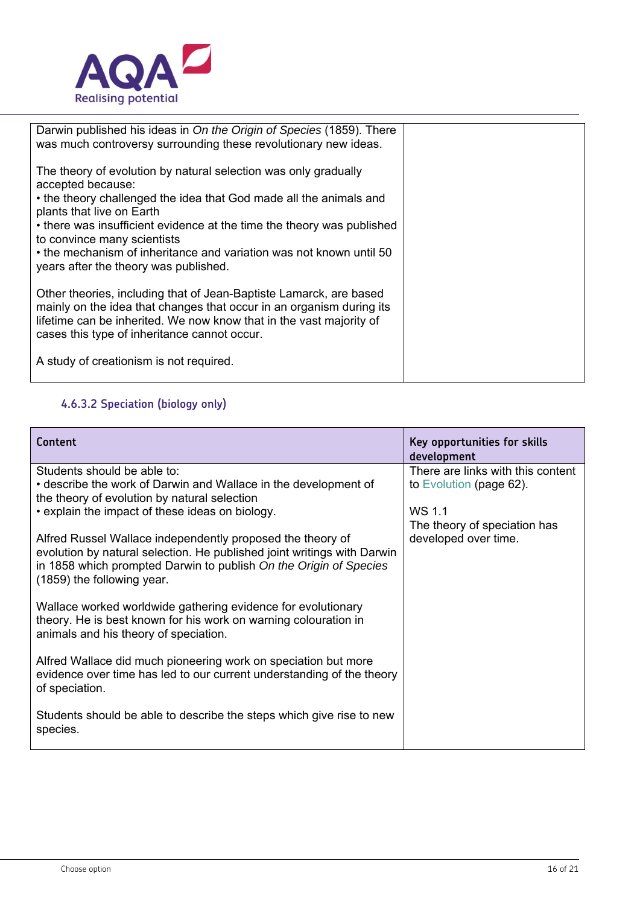

| Darwin published his ideas in On the Origin of Species (1859). There<br>was much controversy surrounding these revolutionary new ideas.                                                                                                                           |  |
|-------------------------------------------------------------------------------------------------------------------------------------------------------------------------------------------------------------------------------------------------------------------|--|
| The theory of evolution by natural selection was only gradually<br>accepted because:                                                                                                                                                                              |  |
| • the theory challenged the idea that God made all the animals and<br>plants that live on Earth                                                                                                                                                                   |  |
| • there was insufficient evidence at the time the theory was published<br>to convince many scientists                                                                                                                                                             |  |
| • the mechanism of inheritance and variation was not known until 50<br>years after the theory was published.                                                                                                                                                      |  |
| Other theories, including that of Jean-Baptiste Lamarck, are based<br>mainly on the idea that changes that occur in an organism during its<br>lifetime can be inherited. We now know that in the vast majority of<br>cases this type of inheritance cannot occur. |  |
| A study of creationism is not required.                                                                                                                                                                                                                           |  |

## **4.6.3.2 Speciation (biology only)**

| Content                                                                                                                                                                                                                                  | Key opportunities for skills<br>development          |
|------------------------------------------------------------------------------------------------------------------------------------------------------------------------------------------------------------------------------------------|------------------------------------------------------|
| Students should be able to:                                                                                                                                                                                                              | There are links with this content                    |
| • describe the work of Darwin and Wallace in the development of<br>the theory of evolution by natural selection                                                                                                                          | to Evolution (page 62).                              |
| • explain the impact of these ideas on biology.                                                                                                                                                                                          | WS 1.1                                               |
| Alfred Russel Wallace independently proposed the theory of<br>evolution by natural selection. He published joint writings with Darwin<br>in 1858 which prompted Darwin to publish On the Origin of Species<br>(1859) the following year. | The theory of speciation has<br>developed over time. |
| Wallace worked worldwide gathering evidence for evolutionary<br>theory. He is best known for his work on warning colouration in<br>animals and his theory of speciation.                                                                 |                                                      |
| Alfred Wallace did much pioneering work on speciation but more<br>evidence over time has led to our current understanding of the theory<br>of speciation.                                                                                |                                                      |
| Students should be able to describe the steps which give rise to new<br>species.                                                                                                                                                         |                                                      |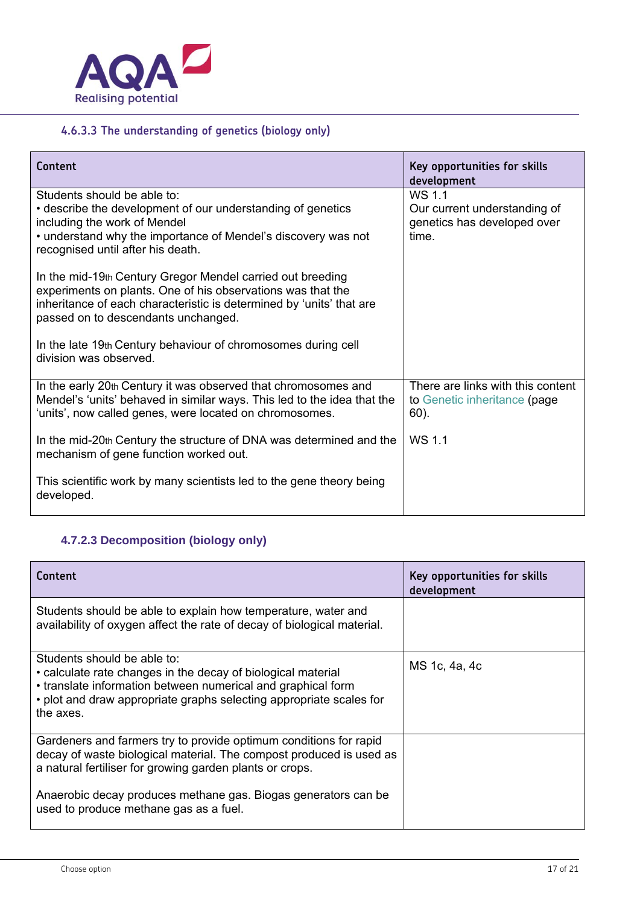

## **4.6.3.3 The understanding of genetics (biology only)**

| Content                                                                                                                                                                                                                                  | Key opportunities for skills<br>development                                    |
|------------------------------------------------------------------------------------------------------------------------------------------------------------------------------------------------------------------------------------------|--------------------------------------------------------------------------------|
| Students should be able to:<br>• describe the development of our understanding of genetics<br>including the work of Mendel<br>• understand why the importance of Mendel's discovery was not<br>recognised until after his death.         | WS 1.1<br>Our current understanding of<br>genetics has developed over<br>time. |
| In the mid-19th Century Gregor Mendel carried out breeding<br>experiments on plants. One of his observations was that the<br>inheritance of each characteristic is determined by 'units' that are<br>passed on to descendants unchanged. |                                                                                |
| In the late 19th Century behaviour of chromosomes during cell<br>division was observed.                                                                                                                                                  |                                                                                |
| In the early 20th Century it was observed that chromosomes and<br>Mendel's 'units' behaved in similar ways. This led to the idea that the<br>'units', now called genes, were located on chromosomes.                                     | There are links with this content<br>to Genetic inheritance (page<br>$60$ ).   |
| In the mid-20th Century the structure of DNA was determined and the<br>mechanism of gene function worked out.                                                                                                                            | WS 1.1                                                                         |
| This scientific work by many scientists led to the gene theory being<br>developed.                                                                                                                                                       |                                                                                |

## **4.7.2.3 Decomposition (biology only)**

| <b>Content</b>                                                                                                                                                                                                                                  | Key opportunities for skills<br>development |
|-------------------------------------------------------------------------------------------------------------------------------------------------------------------------------------------------------------------------------------------------|---------------------------------------------|
| Students should be able to explain how temperature, water and<br>availability of oxygen affect the rate of decay of biological material.                                                                                                        |                                             |
| Students should be able to:<br>• calculate rate changes in the decay of biological material<br>• translate information between numerical and graphical form<br>• plot and draw appropriate graphs selecting appropriate scales for<br>the axes. | MS 1c, 4a, 4c                               |
| Gardeners and farmers try to provide optimum conditions for rapid<br>decay of waste biological material. The compost produced is used as<br>a natural fertiliser for growing garden plants or crops.                                            |                                             |
| Anaerobic decay produces methane gas. Biogas generators can be<br>used to produce methane gas as a fuel.                                                                                                                                        |                                             |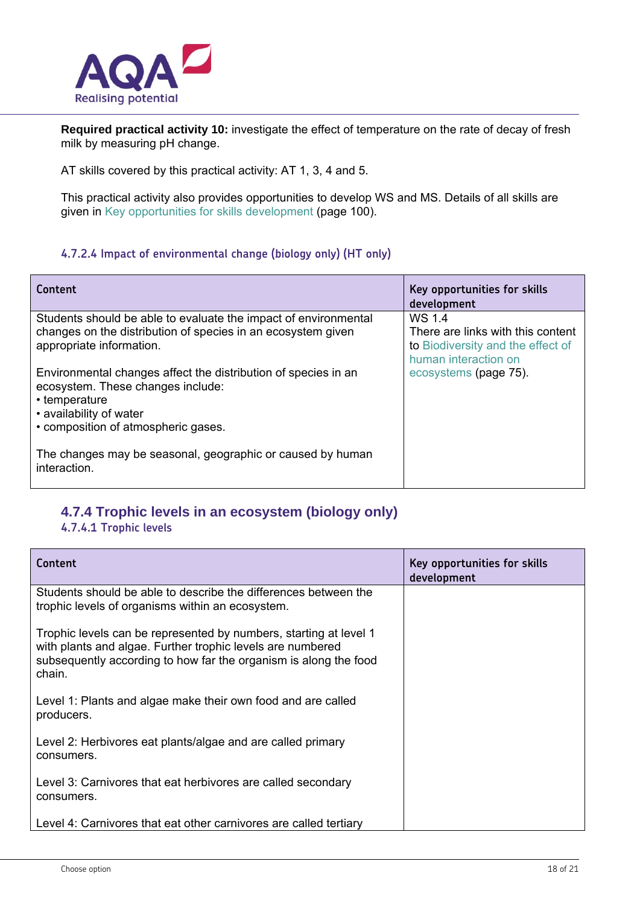

**Required practical activity 10:** investigate the effect of temperature on the rate of decay of fresh milk by measuring pH change.

AT skills covered by this practical activity: AT 1, 3, 4 and 5.

This practical activity also provides opportunities to develop WS and MS. Details of all skills are given in Key opportunities for skills development (page 100).

#### **4.7.2.4 Impact of environmental change (biology only) (HT only)**

| Content                                                                    | Key opportunities for skills<br>development |
|----------------------------------------------------------------------------|---------------------------------------------|
| Students should be able to evaluate the impact of environmental            | WS 1.4                                      |
| changes on the distribution of species in an ecosystem given               | There are links with this content           |
| appropriate information.                                                   | to Biodiversity and the effect of           |
|                                                                            | human interaction on                        |
| Environmental changes affect the distribution of species in an             | ecosystems (page 75).                       |
| ecosystem. These changes include:                                          |                                             |
| • temperature                                                              |                                             |
| • availability of water                                                    |                                             |
| • composition of atmospheric gases.                                        |                                             |
| The changes may be seasonal, geographic or caused by human<br>interaction. |                                             |

#### **4.7.4 Trophic levels in an ecosystem (biology only)**

#### **4.7.4.1 Trophic levels**

| Content                                                                                                                                                                                                       | Key opportunities for skills<br>development |
|---------------------------------------------------------------------------------------------------------------------------------------------------------------------------------------------------------------|---------------------------------------------|
| Students should be able to describe the differences between the<br>trophic levels of organisms within an ecosystem.                                                                                           |                                             |
| Trophic levels can be represented by numbers, starting at level 1<br>with plants and algae. Further trophic levels are numbered<br>subsequently according to how far the organism is along the food<br>chain. |                                             |
| Level 1: Plants and algae make their own food and are called<br>producers.                                                                                                                                    |                                             |
| Level 2: Herbivores eat plants/algae and are called primary<br>consumers.                                                                                                                                     |                                             |
| Level 3: Carnivores that eat herbivores are called secondary<br>consumers.                                                                                                                                    |                                             |
| Level 4: Carnivores that eat other carnivores are called tertiary                                                                                                                                             |                                             |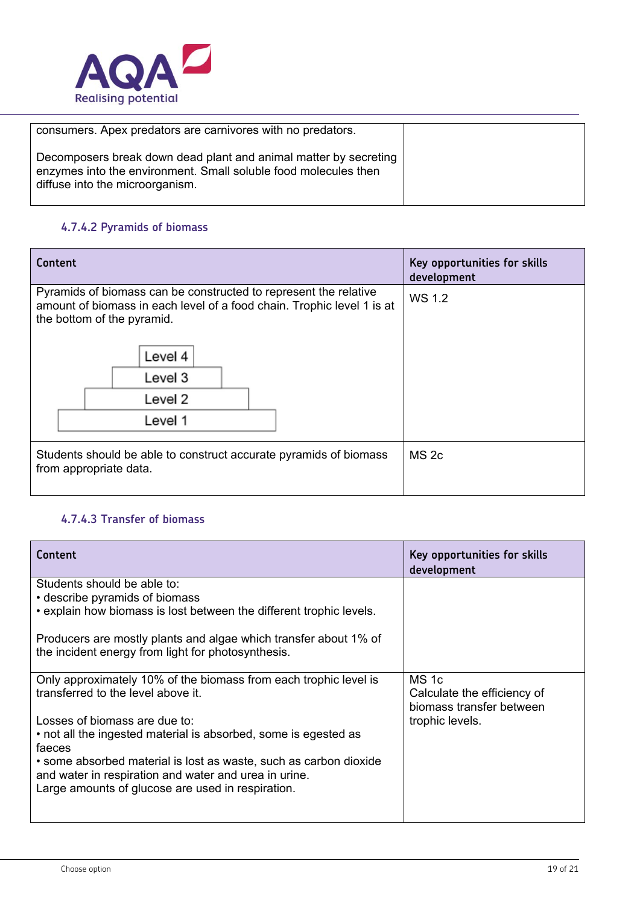

| consumers. Apex predators are carnivores with no predators.                                                                                                            |  |
|------------------------------------------------------------------------------------------------------------------------------------------------------------------------|--|
| Decomposers break down dead plant and animal matter by secreting<br>enzymes into the environment. Small soluble food molecules then<br>diffuse into the microorganism. |  |

#### **4.7.4.2 Pyramids of biomass**

| Content                                                                                                                                                                                                              | Key opportunities for skills<br>development |
|----------------------------------------------------------------------------------------------------------------------------------------------------------------------------------------------------------------------|---------------------------------------------|
| Pyramids of biomass can be constructed to represent the relative<br>amount of biomass in each level of a food chain. Trophic level 1 is at<br>the bottom of the pyramid.<br>Level 4<br>Level 3<br>Level 2<br>Level 1 | WS 1.2                                      |
| Students should be able to construct accurate pyramids of biomass<br>from appropriate data.                                                                                                                          | MS <sub>2c</sub>                            |

#### **4.7.4.3 Transfer of biomass**

| Content                                                                                                                | Key opportunities for skills<br>development                      |
|------------------------------------------------------------------------------------------------------------------------|------------------------------------------------------------------|
| Students should be able to:                                                                                            |                                                                  |
| • describe pyramids of biomass                                                                                         |                                                                  |
| . explain how biomass is lost between the different trophic levels.                                                    |                                                                  |
| Producers are mostly plants and algae which transfer about 1% of<br>the incident energy from light for photosynthesis. |                                                                  |
| Only approximately 10% of the biomass from each trophic level is<br>transferred to the level above it.                 | MS 1c<br>Calculate the efficiency of<br>biomass transfer between |
| Losses of biomass are due to:                                                                                          | trophic levels.                                                  |
| • not all the ingested material is absorbed, some is egested as<br>faeces                                              |                                                                  |
| • some absorbed material is lost as waste, such as carbon dioxide                                                      |                                                                  |
| and water in respiration and water and urea in urine.                                                                  |                                                                  |
| Large amounts of glucose are used in respiration.                                                                      |                                                                  |
|                                                                                                                        |                                                                  |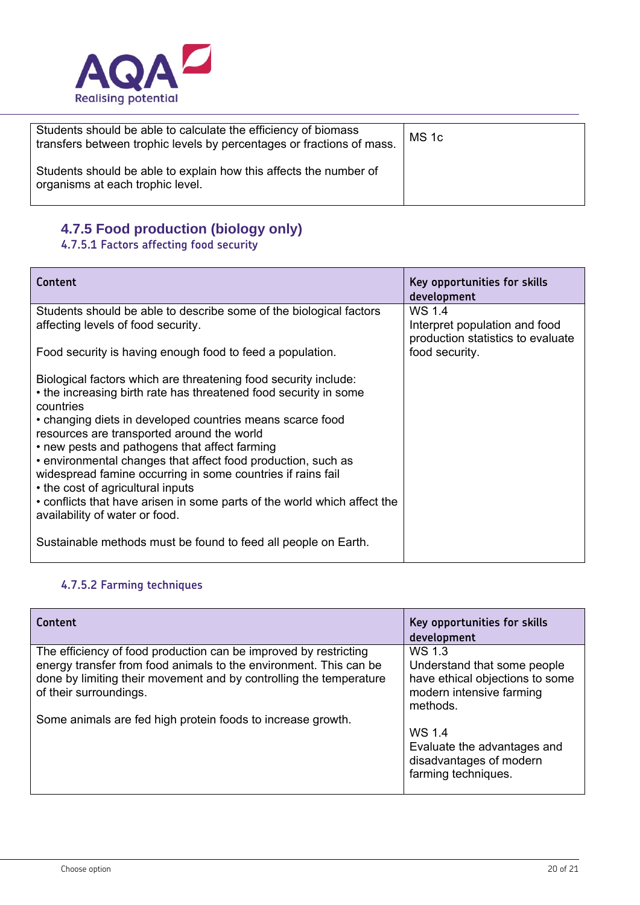

| Students should be able to calculate the efficiency of biomass<br>transfers between trophic levels by percentages or fractions of mass. | MS <sub>1c</sub> |
|-----------------------------------------------------------------------------------------------------------------------------------------|------------------|
| Students should be able to explain how this affects the number of<br>organisms at each trophic level.                                   |                  |

#### **4.7.5 Food production (biology only)**

#### **4.7.5.1 Factors affecting food security**

| Content                                                                                                                                                                                                                                                                                                                                                                                                                                                                                                                                                                                        | Key opportunities for skills<br>development                                  |
|------------------------------------------------------------------------------------------------------------------------------------------------------------------------------------------------------------------------------------------------------------------------------------------------------------------------------------------------------------------------------------------------------------------------------------------------------------------------------------------------------------------------------------------------------------------------------------------------|------------------------------------------------------------------------------|
| Students should be able to describe some of the biological factors<br>affecting levels of food security.                                                                                                                                                                                                                                                                                                                                                                                                                                                                                       | WS 1.4<br>Interpret population and food<br>production statistics to evaluate |
| Food security is having enough food to feed a population.                                                                                                                                                                                                                                                                                                                                                                                                                                                                                                                                      | food security.                                                               |
| Biological factors which are threatening food security include:<br>• the increasing birth rate has threatened food security in some<br>countries<br>• changing diets in developed countries means scarce food<br>resources are transported around the world<br>• new pests and pathogens that affect farming<br>• environmental changes that affect food production, such as<br>widespread famine occurring in some countries if rains fail<br>• the cost of agricultural inputs<br>• conflicts that have arisen in some parts of the world which affect the<br>availability of water or food. |                                                                              |
| Sustainable methods must be found to feed all people on Earth.                                                                                                                                                                                                                                                                                                                                                                                                                                                                                                                                 |                                                                              |

## **4.7.5.2 Farming techniques**

| Content                                                                                                                                                           | Key opportunities for skills<br>development                                                            |
|-------------------------------------------------------------------------------------------------------------------------------------------------------------------|--------------------------------------------------------------------------------------------------------|
| The efficiency of food production can be improved by restricting                                                                                                  | WS 1.3                                                                                                 |
| energy transfer from food animals to the environment. This can be<br>done by limiting their movement and by controlling the temperature<br>of their surroundings. | Understand that some people<br>have ethical objections to some<br>modern intensive farming<br>methods. |
| Some animals are fed high protein foods to increase growth.                                                                                                       |                                                                                                        |
|                                                                                                                                                                   | WS 1.4                                                                                                 |
|                                                                                                                                                                   | Evaluate the advantages and<br>disadvantages of modern<br>farming techniques.                          |